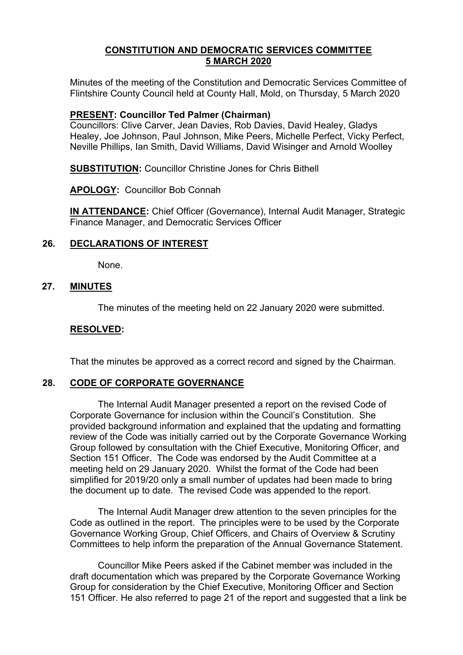## **CONSTITUTION AND DEMOCRATIC SERVICES COMMITTEE 5 MARCH 2020**

Minutes of the meeting of the Constitution and Democratic Services Committee of Flintshire County Council held at County Hall, Mold, on Thursday, 5 March 2020

### **PRESENT: Councillor Ted Palmer (Chairman)**

Councillors: Clive Carver, Jean Davies, Rob Davies, David Healey, Gladys Healey, Joe Johnson, Paul Johnson, Mike Peers, Michelle Perfect, Vicky Perfect, Neville Phillips, Ian Smith, David Williams, David Wisinger and Arnold Woolley

**SUBSTITUTION:** Councillor Christine Jones for Chris Bithell

**APOLOGY:** Councillor Bob Connah

**IN ATTENDANCE:** Chief Officer (Governance), Internal Audit Manager, Strategic Finance Manager, and Democratic Services Officer

## **26. DECLARATIONS OF INTEREST**

None.

### **27. MINUTES**

The minutes of the meeting held on 22 January 2020 were submitted.

#### **RESOLVED:**

That the minutes be approved as a correct record and signed by the Chairman.

#### **28. CODE OF CORPORATE GOVERNANCE**

The Internal Audit Manager presented a report on the revised Code of Corporate Governance for inclusion within the Council's Constitution. She provided background information and explained that the updating and formatting review of the Code was initially carried out by the Corporate Governance Working Group followed by consultation with the Chief Executive, Monitoring Officer, and Section 151 Officer. The Code was endorsed by the Audit Committee at a meeting held on 29 January 2020. Whilst the format of the Code had been simplified for 2019/20 only a small number of updates had been made to bring the document up to date. The revised Code was appended to the report.

The Internal Audit Manager drew attention to the seven principles for the Code as outlined in the report. The principles were to be used by the Corporate Governance Working Group, Chief Officers, and Chairs of Overview & Scrutiny Committees to help inform the preparation of the Annual Governance Statement.

Councillor Mike Peers asked if the Cabinet member was included in the draft documentation which was prepared by the Corporate Governance Working Group for consideration by the Chief Executive, Monitoring Officer and Section 151 Officer. He also referred to page 21 of the report and suggested that a link be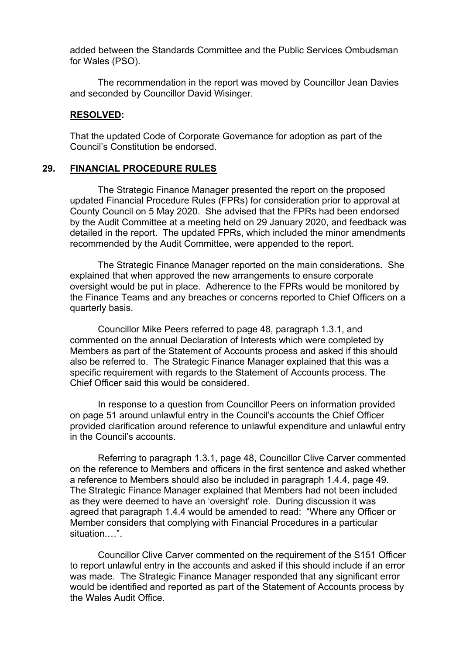added between the Standards Committee and the Public Services Ombudsman for Wales (PSO).

The recommendation in the report was moved by Councillor Jean Davies and seconded by Councillor David Wisinger.

#### **RESOLVED:**

That the updated Code of Corporate Governance for adoption as part of the Council's Constitution be endorsed.

#### **29. FINANCIAL PROCEDURE RULES**

The Strategic Finance Manager presented the report on the proposed updated Financial Procedure Rules (FPRs) for consideration prior to approval at County Council on 5 May 2020. She advised that the FPRs had been endorsed by the Audit Committee at a meeting held on 29 January 2020, and feedback was detailed in the report. The updated FPRs, which included the minor amendments recommended by the Audit Committee, were appended to the report.

The Strategic Finance Manager reported on the main considerations. She explained that when approved the new arrangements to ensure corporate oversight would be put in place. Adherence to the FPRs would be monitored by the Finance Teams and any breaches or concerns reported to Chief Officers on a quarterly basis.

Councillor Mike Peers referred to page 48, paragraph 1.3.1, and commented on the annual Declaration of Interests which were completed by Members as part of the Statement of Accounts process and asked if this should also be referred to. The Strategic Finance Manager explained that this was a specific requirement with regards to the Statement of Accounts process. The Chief Officer said this would be considered.

In response to a question from Councillor Peers on information provided on page 51 around unlawful entry in the Council's accounts the Chief Officer provided clarification around reference to unlawful expenditure and unlawful entry in the Council's accounts.

Referring to paragraph 1.3.1, page 48, Councillor Clive Carver commented on the reference to Members and officers in the first sentence and asked whether a reference to Members should also be included in paragraph 1.4.4, page 49. The Strategic Finance Manager explained that Members had not been included as they were deemed to have an 'oversight' role. During discussion it was agreed that paragraph 1.4.4 would be amended to read: "Where any Officer or Member considers that complying with Financial Procedures in a particular situation.…".

Councillor Clive Carver commented on the requirement of the S151 Officer to report unlawful entry in the accounts and asked if this should include if an error was made. The Strategic Finance Manager responded that any significant error would be identified and reported as part of the Statement of Accounts process by the Wales Audit Office.